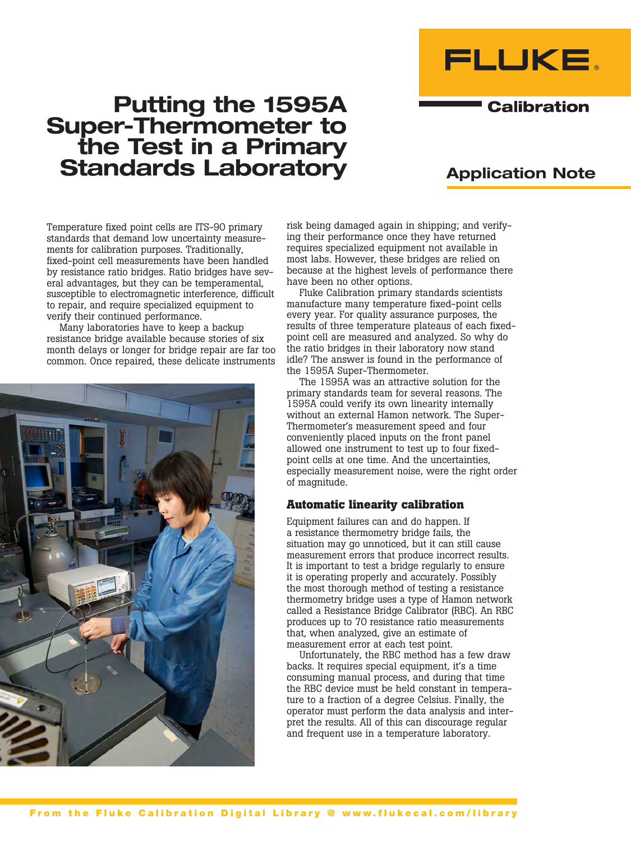

# Putting the 1595A Super-Thermometer to the Test in a Primary Standards Laboratory

## Application Note

**Calibration** 

Temperature fixed point cells are ITS-90 primary standards that demand low uncertainty measurements for calibration purposes. Traditionally, fixed-point cell measurements have been handled by resistance ratio bridges. Ratio bridges have several advantages, but they can be temperamental, susceptible to electromagnetic interference, difficult to repair, and require specialized equipment to verify their continued performance.

Many laboratories have to keep a backup resistance bridge available because stories of six month delays or longer for bridge repair are far too common. Once repaired, these delicate instruments



risk being damaged again in shipping; and verifying their performance once they have returned requires specialized equipment not available in most labs. However, these bridges are relied on because at the highest levels of performance there have been no other options.

Fluke Calibration primary standards scientists manufacture many temperature fixed-point cells every year. For quality assurance purposes, the results of three temperature plateaus of each fixedpoint cell are measured and analyzed. So why do the ratio bridges in their laboratory now stand idle? The answer is found in the performance of the 1595A Super-Thermometer.

The 1595A was an attractive solution for the primary standards team for several reasons. The 1595A could verify its own linearity internally without an external Hamon network. The Super-Thermometer's measurement speed and four conveniently placed inputs on the front panel allowed one instrument to test up to four fixedpoint cells at one time. And the uncertainties, especially measurement noise, were the right order of magnitude.

#### **Automatic linearity calibration**

Equipment failures can and do happen. If a resistance thermometry bridge fails, the situation may go unnoticed, but it can still cause measurement errors that produce incorrect results. It is important to test a bridge regularly to ensure it is operating properly and accurately. Possibly the most thorough method of testing a resistance thermometry bridge uses a type of Hamon network called a Resistance Bridge Calibrator (RBC). An RBC produces up to 70 resistance ratio measurements that, when analyzed, give an estimate of measurement error at each test point.

Unfortunately, the RBC method has a few draw backs. It requires special equipment, it's a time consuming manual process, and during that time the RBC device must be held constant in temperature to a fraction of a degree Celsius. Finally, the operator must perform the data analysis and interpret the results. All of this can discourage regular and frequent use in a temperature laboratory.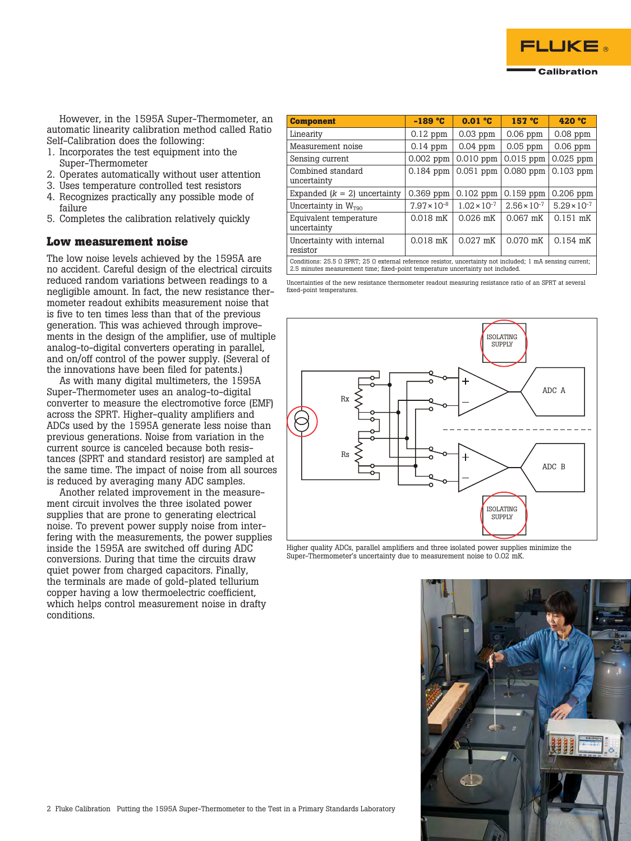

However, in the 1595A Super-Thermometer, an automatic linearity calibration method called Ratio Self-Calibration does the following:

- 1. Incorporates the test equipment into the Super-Thermometer
- 2. Operates automatically without user attention
- 3. Uses temperature controlled test resistors
- 4. Recognizes practically any possible mode of failure
- 5. Completes the calibration relatively quickly

#### **Low measurement noise**

The low noise levels achieved by the 1595A are no accident. Careful design of the electrical circuits reduced random variations between readings to a negligible amount. In fact, the new resistance thermometer readout exhibits measurement noise that is five to ten times less than that of the previous generation. This was achieved through improvements in the design of the amplifier, use of multiple analog-to-digital converters operating in parallel, and on/off control of the power supply. (Several of the innovations have been filed for patents.)

As with many digital multimeters, the 1595A Super-Thermometer uses an analog-to-digital converter to measure the electromotive force (EMF) across the SPRT. Higher-quality amplifiers and ADCs used by the 1595A generate less noise than previous generations. Noise from variation in the current source is canceled because both resistances (SPRT and standard resistor) are sampled at the same time. The impact of noise from all sources is reduced by averaging many ADC samples.

Another related improvement in the measurement circuit involves the three isolated power supplies that are prone to generating electrical noise. To prevent power supply noise from interfering with the measurements, the power supplies inside the 1595A are switched off during ADC conversions. During that time the circuits draw quiet power from charged capacitors. Finally, the terminals are made of gold-plated tellurium copper having a low thermoelectric coefficient, which helps control measurement noise in drafty conditions.

| <b>Component</b>                                                                                                                                                                                            | $-189 °C$             | $0.01$ °C             | 157 °C                | 420 °C                |  |  |  |
|-------------------------------------------------------------------------------------------------------------------------------------------------------------------------------------------------------------|-----------------------|-----------------------|-----------------------|-----------------------|--|--|--|
| Linearity                                                                                                                                                                                                   | $0.12$ ppm            | $0.03$ ppm            | $0.06$ ppm            | $0.08$ ppm            |  |  |  |
| Measurement noise                                                                                                                                                                                           | $0.14$ ppm            | $0.04$ ppm            | $0.05$ ppm            | $0.06$ ppm            |  |  |  |
| Sensing current                                                                                                                                                                                             | $0.002$ ppm           | $0.010$ ppm           | $0.015$ ppm           | $0.025$ ppm           |  |  |  |
| Combined standard<br>uncertainty                                                                                                                                                                            | $0.184$ ppm           | $0.051$ ppm           | $0.080$ ppm           | $0.103$ ppm           |  |  |  |
| Expanded $(k = 2)$ uncertainty                                                                                                                                                                              | $0.369$ ppm           | $0.102$ ppm           | $0.159$ ppm           | $0.206$ ppm           |  |  |  |
| Uncertainty in $W_{\text{TO}}$                                                                                                                                                                              | $7.97 \times 10^{-8}$ | $1.02 \times 10^{-7}$ | $2.56 \times 10^{-7}$ | $5.29 \times 10^{-7}$ |  |  |  |
| Equivalent temperature<br>uncertainty                                                                                                                                                                       | 0.018 mK              | $0.026$ mK            | $0.067$ mK            | 0.151 mK              |  |  |  |
| Uncertainty with internal<br>resistor                                                                                                                                                                       | 0.018 mK              | $0.027$ mK            | 0.070 mK              | $0.154$ mK            |  |  |  |
| Conditions: 25.5 $\Omega$ SPRT; 25 $\Omega$ external reference resistor, uncertainty not included; 1 mA sensing current;<br>2.5 minutes measurement time; fixed-point temperature uncertainty not included. |                       |                       |                       |                       |  |  |  |

Uncertainties of the new resistance thermometer readout measuring resistance ratio of an SPRT at several fixed-point temperatures.



Higher quality ADCs, parallel amplifiers and three isolated power supplies minimize the Super-Thermometer's uncertainty due to measurement noise to 0.02 mK.

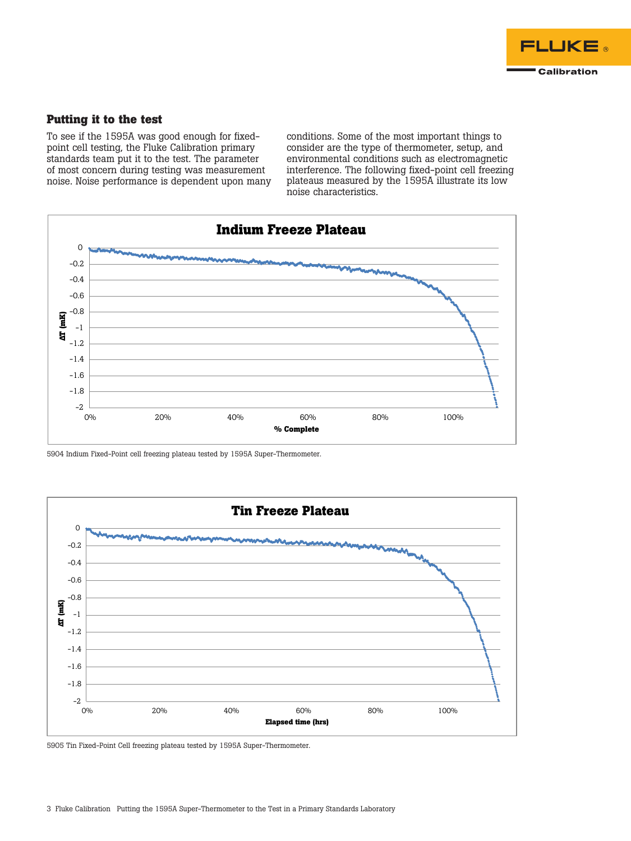

### **Putting it to the test**

To see if the 1595A was good enough for fixedpoint cell testing, the Fluke Calibration primary standards team put it to the test. The parameter of most concern during testing was measurement noise. Noise performance is dependent upon many

conditions. Some of the most important things to consider are the type of thermometer, setup, and environmental conditions such as electromagnetic interference. The following fixed-point cell freezing plateaus measured by the 1595A illustrate its low noise characteristics.



5904 Indium Fixed-Point cell freezing plateau tested by 1595A Super-Thermometer.



5905 Tin Fixed-Point Cell freezing plateau tested by 1595A Super-Thermometer.